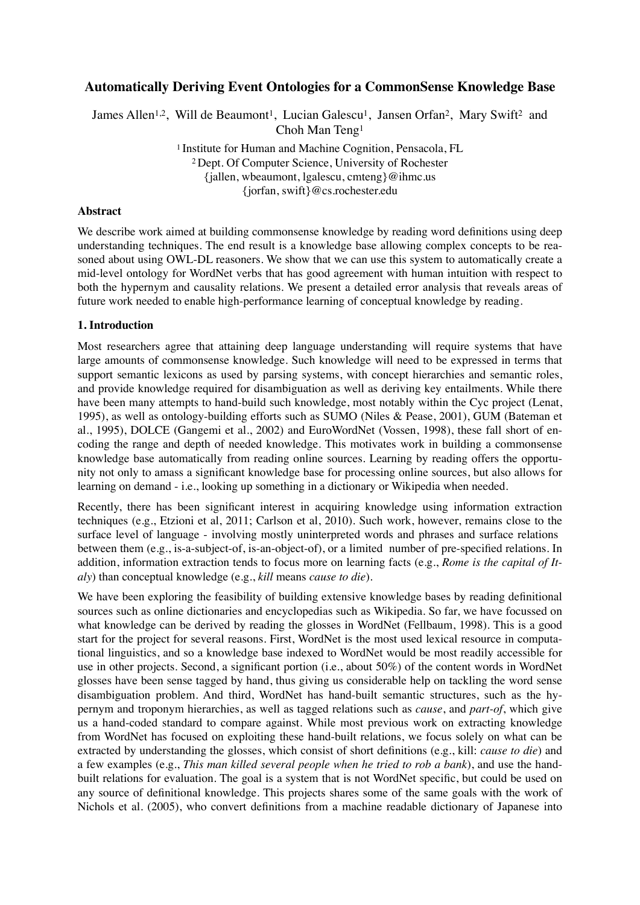# **Automatically Deriving Event Ontologies for a CommonSense Knowledge Base**

James Allen<sup>1,2</sup>, Will de Beaumont<sup>1</sup>, Lucian Galescu<sup>1</sup>, Jansen Orfan<sup>2</sup>, Mary Swift<sup>2</sup> and Choh Man Teng1

> <sup>1</sup> Institute for Human and Machine Cognition, Pensacola, FL 2 Dept. Of Computer Science, University of Rochester {jallen, wbeaumont, lgalescu, cmteng}@ihmc.us {jorfan, swift}@cs.rochester.edu

#### **Abstract**

We describe work aimed at building commonsense knowledge by reading word definitions using deep understanding techniques. The end result is a knowledge base allowing complex concepts to be reasoned about using OWL-DL reasoners. We show that we can use this system to automatically create a mid-level ontology for WordNet verbs that has good agreement with human intuition with respect to both the hypernym and causality relations. We present a detailed error analysis that reveals areas of future work needed to enable high-performance learning of conceptual knowledge by reading.

### **1. Introduction**

Most researchers agree that attaining deep language understanding will require systems that have large amounts of commonsense knowledge. Such knowledge will need to be expressed in terms that support semantic lexicons as used by parsing systems, with concept hierarchies and semantic roles, and provide knowledge required for disambiguation as well as deriving key entailments. While there have been many attempts to hand-build such knowledge, most notably within the Cyc project (Lenat, 1995), as well as ontology-building efforts such as SUMO (Niles & Pease, 2001), GUM (Bateman et al., 1995), DOLCE (Gangemi et al., 2002) and EuroWordNet (Vossen, 1998), these fall short of encoding the range and depth of needed knowledge. This motivates work in building a commonsense knowledge base automatically from reading online sources. Learning by reading offers the opportunity not only to amass a significant knowledge base for processing online sources, but also allows for learning on demand - i.e., looking up something in a dictionary or Wikipedia when needed.

Recently, there has been significant interest in acquiring knowledge using information extraction techniques (e.g., Etzioni et al, 2011; Carlson et al, 2010). Such work, however, remains close to the surface level of language - involving mostly uninterpreted words and phrases and surface relations between them (e.g., is-a-subject-of, is-an-object-of), or a limited number of pre-specified relations. In addition, information extraction tends to focus more on learning facts (e.g., *Rome is the capital of Italy*) than conceptual knowledge (e.g., *kill* means *cause to die*).

We have been exploring the feasibility of building extensive knowledge bases by reading definitional sources such as online dictionaries and encyclopedias such as Wikipedia. So far, we have focussed on what knowledge can be derived by reading the glosses in WordNet (Fellbaum, 1998). This is a good start for the project for several reasons. First, WordNet is the most used lexical resource in computational linguistics, and so a knowledge base indexed to WordNet would be most readily accessible for use in other projects. Second, a significant portion (i.e., about 50%) of the content words in WordNet glosses have been sense tagged by hand, thus giving us considerable help on tackling the word sense disambiguation problem. And third, WordNet has hand-built semantic structures, such as the hypernym and troponym hierarchies, as well as tagged relations such as *cause*, and *part-of*, which give us a hand-coded standard to compare against. While most previous work on extracting knowledge from WordNet has focused on exploiting these hand-built relations, we focus solely on what can be extracted by understanding the glosses, which consist of short definitions (e.g., kill: *cause to die*) and a few examples (e.g., *This man killed several people when he tried to rob a bank*), and use the handbuilt relations for evaluation. The goal is a system that is not WordNet specific, but could be used on any source of definitional knowledge. This projects shares some of the same goals with the work of Nichols et al. (2005), who convert definitions from a machine readable dictionary of Japanese into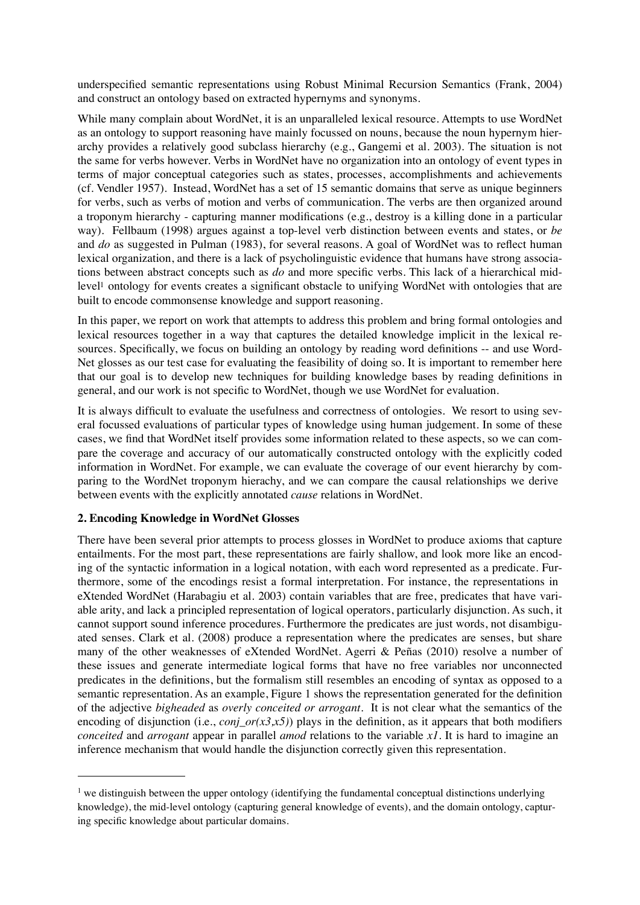underspecified semantic representations using Robust Minimal Recursion Semantics (Frank, 2004) and construct an ontology based on extracted hypernyms and synonyms.

While many complain about WordNet, it is an unparalleled lexical resource. Attempts to use WordNet as an ontology to support reasoning have mainly focussed on nouns, because the noun hypernym hierarchy provides a relatively good subclass hierarchy (e.g., Gangemi et al. 2003). The situation is not the same for verbs however. Verbs in WordNet have no organization into an ontology of event types in terms of major conceptual categories such as states, processes, accomplishments and achievements (cf. Vendler 1957). Instead, WordNet has a set of 15 semantic domains that serve as unique beginners for verbs, such as verbs of motion and verbs of communication. The verbs are then organized around a troponym hierarchy - capturing manner modifications (e.g., destroy is a killing done in a particular way). Fellbaum (1998) argues against a top-level verb distinction between events and states, or *be* and *do* as suggested in Pulman (1983), for several reasons. A goal of WordNet was to reflect human lexical organization, and there is a lack of psycholinguistic evidence that humans have strong associations between abstract concepts such as *do* and more specific verbs. This lack of a hierarchical midlevel<sup>1</sup> ontology for events creates a significant obstacle to unifying WordNet with ontologies that are built to encode commonsense knowledge and support reasoning.

In this paper, we report on work that attempts to address this problem and bring formal ontologies and lexical resources together in a way that captures the detailed knowledge implicit in the lexical resources. Specifically, we focus on building an ontology by reading word definitions -- and use Word-Net glosses as our test case for evaluating the feasibility of doing so. It is important to remember here that our goal is to develop new techniques for building knowledge bases by reading definitions in general, and our work is not specific to WordNet, though we use WordNet for evaluation.

It is always difficult to evaluate the usefulness and correctness of ontologies. We resort to using several focussed evaluations of particular types of knowledge using human judgement. In some of these cases, we find that WordNet itself provides some information related to these aspects, so we can compare the coverage and accuracy of our automatically constructed ontology with the explicitly coded information in WordNet. For example, we can evaluate the coverage of our event hierarchy by comparing to the WordNet troponym hierachy, and we can compare the causal relationships we derive between events with the explicitly annotated *cause* relations in WordNet.

## **2. Encoding Knowledge in WordNet Glosses**

There have been several prior attempts to process glosses in WordNet to produce axioms that capture entailments. For the most part, these representations are fairly shallow, and look more like an encoding of the syntactic information in a logical notation, with each word represented as a predicate. Furthermore, some of the encodings resist a formal interpretation. For instance, the representations in eXtended WordNet (Harabagiu et al. 2003) contain variables that are free, predicates that have variable arity, and lack a principled representation of logical operators, particularly disjunction. As such, it cannot support sound inference procedures. Furthermore the predicates are just words, not disambiguated senses. Clark et al. (2008) produce a representation where the predicates are senses, but share many of the other weaknesses of eXtended WordNet. Agerri & Peñas (2010) resolve a number of these issues and generate intermediate logical forms that have no free variables nor unconnected predicates in the definitions, but the formalism still resembles an encoding of syntax as opposed to a semantic representation. As an example, Figure 1 shows the representation generated for the definition of the adjective *bigheaded* as *overly conceited or arrogant*. It is not clear what the semantics of the encoding of disjunction (i.e., *conj\_or(x3,x5)*) plays in the definition, as it appears that both modifiers *conceited* and *arrogant* appear in parallel *amod* relations to the variable *x1*. It is hard to imagine an inference mechanism that would handle the disjunction correctly given this representation.

<span id="page-1-0"></span><sup>&</sup>lt;sup>1</sup> we distinguish between the upper ontology (identifying the fundamental conceptual distinctions underlying knowledge), the mid-level ontology (capturing general knowledge of events), and the domain ontology, capturing specific knowledge about particular domains.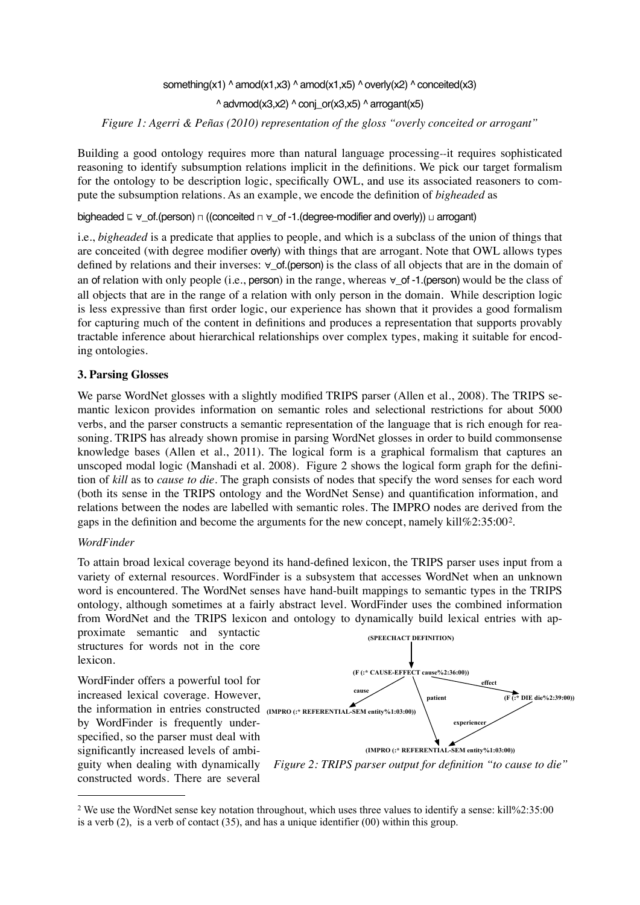something(x1) ^ amod(x1,x3) ^ amod(x1,x5) ^ overly(x2) ^ conceited(x3)

 $\land$  advmod(x3,x2)  $\land$  conj or(x3,x5)  $\land$  arrogant(x5)

*Figure 1: Agerri & Peñas (2010) representation of the gloss "overly conceited or arrogant"*

Building a good ontology requires more than natural language processing--it requires sophisticated reasoning to identify subsumption relations implicit in the definitions. We pick our target formalism for the ontology to be description logic, specifically OWL, and use its associated reasoners to compute the subsumption relations. As an example, we encode the definition of *bigheaded* as

bigheaded ⊆ ∀\_of.(person)  $\sqcap$  ((conceited  $\sqcap$  ∀\_of -1.(degree-modifier and overly)) ⊔ arrogant)

i.e., *bigheaded* is a predicate that applies to people, and which is a subclass of the union of things that are conceited (with degree modifier overly) with things that are arrogant. Note that OWL allows types defined by relations and their inverses: ∀\_of.(person) is the class of all objects that are in the domain of an of relation with only people (i.e., person) in the range, whereas  $\forall$  of -1.(person) would be the class of all objects that are in the range of a relation with only person in the domain*.* While description logic is less expressive than first order logic, our experience has shown that it provides a good formalism for capturing much of the content in definitions and produces a representation that supports provably tractable inference about hierarchical relationships over complex types, making it suitable for encoding ontologies.

### **3. Parsing Glosses**

We parse WordNet glosses with a slightly modified TRIPS parser (Allen et al., 2008). The TRIPS semantic lexicon provides information on semantic roles and selectional restrictions for about 5000 verbs, and the parser constructs a semantic representation of the language that is rich enough for reasoning. TRIPS has already shown promise in parsing WordNet glosses in order to build commonsense knowledge bases (Allen et al., 2011). The logical form is a graphical formalism that captures an unscoped modal logic (Manshadi et al. 2008). Figure 2 shows the logical form graph for the definition of *kill* as to *cause to die*. The graph consists of nodes that specify the word senses for each word (both its sense in the TRIPS ontology and the WordNet Sense) and quantification information, and relations between the nodes are labelled with semantic roles. The IMPRO nodes are derived from the gaps in the definition and become the arguments for the new concept, namely kill%2:35:00[2](#page-2-0).

#### *WordFinder*

To attain broad lexical coverage beyond its hand-defined lexicon, the TRIPS parser uses input from a variety of external resources. WordFinder is a subsystem that accesses WordNet when an unknown word is encountered. The WordNet senses have hand-built mappings to semantic types in the TRIPS ontology, although sometimes at a fairly abstract level. WordFinder uses the combined information from WordNet and the TRIPS lexicon and ontology to dynamically build lexical entries with ap-

proximate semantic and syntactic structures for words not in the core lexicon.

WordFinder offers a powerful tool for increased lexical coverage. However, the information in entries constructed **(IMPRO (:\* REFERENTIAL-SEM entity%1:03:00))** by WordFinder is frequently underspecified, so the parser must deal with significantly increased levels of ambiguity when dealing with dynamically constructed words. There are several



<span id="page-2-0"></span><sup>2</sup> We use the WordNet sense key notation throughout, which uses three values to identify a sense: kill%2:35:00 is a verb (2), is a verb of contact (35), and has a unique identifier (00) within this group.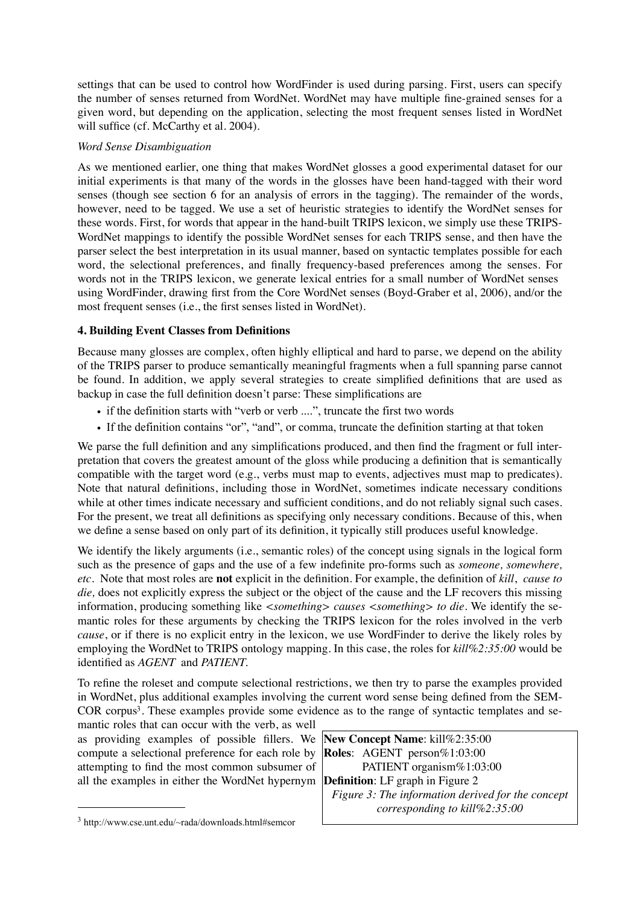settings that can be used to control how WordFinder is used during parsing. First, users can specify the number of senses returned from WordNet. WordNet may have multiple fine-grained senses for a given word, but depending on the application, selecting the most frequent senses listed in WordNet will suffice (cf. McCarthy et al. 2004).

## *Word Sense Disambiguation*

As we mentioned earlier, one thing that makes WordNet glosses a good experimental dataset for our initial experiments is that many of the words in the glosses have been hand-tagged with their word senses (though see section 6 for an analysis of errors in the tagging). The remainder of the words, however, need to be tagged. We use a set of heuristic strategies to identify the WordNet senses for these words. First, for words that appear in the hand-built TRIPS lexicon, we simply use these TRIPS-WordNet mappings to identify the possible WordNet senses for each TRIPS sense, and then have the parser select the best interpretation in its usual manner, based on syntactic templates possible for each word, the selectional preferences, and finally frequency-based preferences among the senses. For words not in the TRIPS lexicon, we generate lexical entries for a small number of WordNet senses using WordFinder, drawing first from the Core WordNet senses (Boyd-Graber et al, 2006), and/or the most frequent senses (i.e., the first senses listed in WordNet).

# **4. Building Event Classes from Definitions**

Because many glosses are complex, often highly elliptical and hard to parse, we depend on the ability of the TRIPS parser to produce semantically meaningful fragments when a full spanning parse cannot be found. In addition, we apply several strategies to create simplified definitions that are used as backup in case the full definition doesn't parse: These simplifications are

- if the definition starts with "verb or verb ....", truncate the first two words
- If the definition contains "or", "and", or comma, truncate the definition starting at that token

We parse the full definition and any simplifications produced, and then find the fragment or full interpretation that covers the greatest amount of the gloss while producing a definition that is semantically compatible with the target word (e.g., verbs must map to events, adjectives must map to predicates). Note that natural definitions, including those in WordNet, sometimes indicate necessary conditions while at other times indicate necessary and sufficient conditions, and do not reliably signal such cases. For the present, we treat all definitions as specifying only necessary conditions. Because of this, when we define a sense based on only part of its definition, it typically still produces useful knowledge.

We identify the likely arguments (i.e., semantic roles) of the concept using signals in the logical form such as the presence of gaps and the use of a few indefinite pro-forms such as *someone, somewhere, etc.* Note that most roles are **not** explicit in the definition. For example, the definition of *kill*, *cause to die,* does not explicitly express the subject or the object of the cause and the LF recovers this missing information, producing something like *<something> causes <something> to die.* We identify the semantic roles for these arguments by checking the TRIPS lexicon for the roles involved in the verb *cause*, or if there is no explicit entry in the lexicon, we use WordFinder to derive the likely roles by employing the WordNet to TRIPS ontology mapping. In this case, the roles for *kill%2:35:00* would be identified as *AGENT* and *PATIENT.* 

To refine the roleset and compute selectional restrictions, we then try to parse the examples provided in WordNet, plus additional examples involving the current word sense being defined from the SEM-COR corpu[s3](#page-3-0). These examples provide some evidence as to the range of syntactic templates and se-

mantic roles that can occur with the verb, as well as providing examples of possible fillers. We compute a selectional preference for each role by attempting to find the most common subsumer of all the examples in either the WordNet hypernym

**New Concept Name**: kill%2:35:00 **Roles**: AGENT person%1:03:00 PATIENT organism%1:03:00 **Definition**: LF graph in Figure 2 *Figure 3: The information derived for the concept corresponding to kill%2:35:00*

<span id="page-3-0"></span><sup>3</sup> http://www.cse.unt.edu/~rada/downloads.html#semcor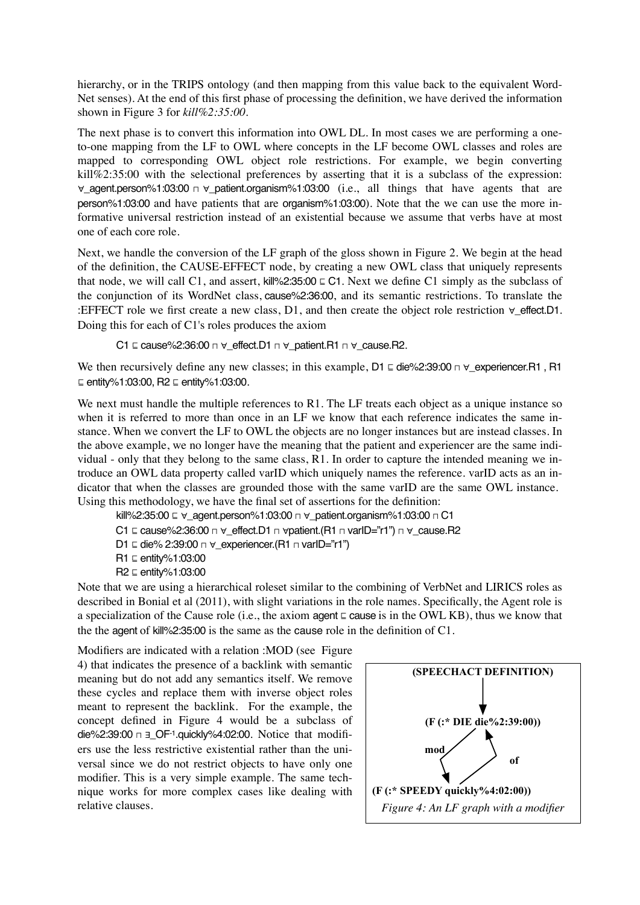hierarchy, or in the TRIPS ontology (and then mapping from this value back to the equivalent Word-Net senses). At the end of this first phase of processing the definition, we have derived the information shown in Figure 3 for *kill%2:35:00.*

The next phase is to convert this information into OWL DL. In most cases we are performing a oneto-one mapping from the LF to OWL where concepts in the LF become OWL classes and roles are mapped to corresponding OWL object role restrictions. For example, we begin converting kill%2:35:00 with the selectional preferences by asserting that it is a subclass of the expression: ∀\_agent.person%1:03:00 ⊓ ∀\_patient.organism%1:03:00 (i.e., all things that have agents that are person%1:03:00 and have patients that are organism%1:03:00). Note that the we can use the more informative universal restriction instead of an existential because we assume that verbs have at most one of each core role.

Next, we handle the conversion of the LF graph of the gloss shown in Figure 2. We begin at the head of the definition, the CAUSE-EFFECT node, by creating a new OWL class that uniquely represents that node, we will call C1, and assert, kill%2:35:00  $\subseteq$  C1. Next we define C1 simply as the subclass of the conjunction of its WordNet class, cause%2:36:00, and its semantic restrictions. To translate the :EFFECT role we first create a new class, D1, and then create the object role restriction ∀\_effect.D1. Doing this for each of C1's roles produces the axiom

C1 ⊑ cause%2:36:00 ⊓ ∀\_effect.D1 ⊓ ∀\_patient.R1 ⊓ ∀\_cause.R2.

We then recursively define any new classes; in this example, D1 ⊑ die%2:39:00  $\Box$   $\lor$  experiencer.R1, R1 ⊑ entity%1:03:00, R2 ⊑ entity%1:03:00.

We next must handle the multiple references to R1. The LF treats each object as a unique instance so when it is referred to more than once in an LF we know that each reference indicates the same instance. When we convert the LF to OWL the objects are no longer instances but are instead classes. In the above example, we no longer have the meaning that the patient and experiencer are the same individual - only that they belong to the same class, R1. In order to capture the intended meaning we introduce an OWL data property called varID which uniquely names the reference. varID acts as an indicator that when the classes are grounded those with the same varID are the same OWL instance. Using this methodology, we have the final set of assertions for the definition:

kill%2:35:00 ⊑ ∀\_agent.person%1:03:00 ⊓ ∀\_patient.organism%1:03:00 ⊓ C1 C1 ⊑ cause%2:36:00 ⊓ ∀\_effect.D1 ⊓ ∀patient.(R1 ⊓ varID="r1") ⊓ ∀\_cause.R2 D1 ⊑ die% 2:39:00 ⊓ ∀\_experiencer.(R1 ⊓ varID="r1") R1 ⊑ entity%1:03:00 R2 ⊑ entity%1:03:00

Note that we are using a hierarchical roleset similar to the combining of VerbNet and LIRICS roles as described in Bonial et al (2011), with slight variations in the role names. Specifically, the Agent role is a specialization of the Cause role (i.e., the axiom agent ⊑ cause is in the OWL KB), thus we know that the the agent of kill%2:35:00 is the same as the cause role in the definition of  $C1$ .

Modifiers are indicated with a relation :MOD (see Figure 4) that indicates the presence of a backlink with semantic meaning but do not add any semantics itself. We remove these cycles and replace them with inverse object roles meant to represent the backlink. For the example, the concept defined in Figure 4 would be a subclass of die%2:39:00 ⊓ ∃\_OF-1.quickly%4:02:00. Notice that modifiers use the less restrictive existential rather than the universal since we do not restrict objects to have only one modifier. This is a very simple example. The same technique works for more complex cases like dealing with relative clauses.

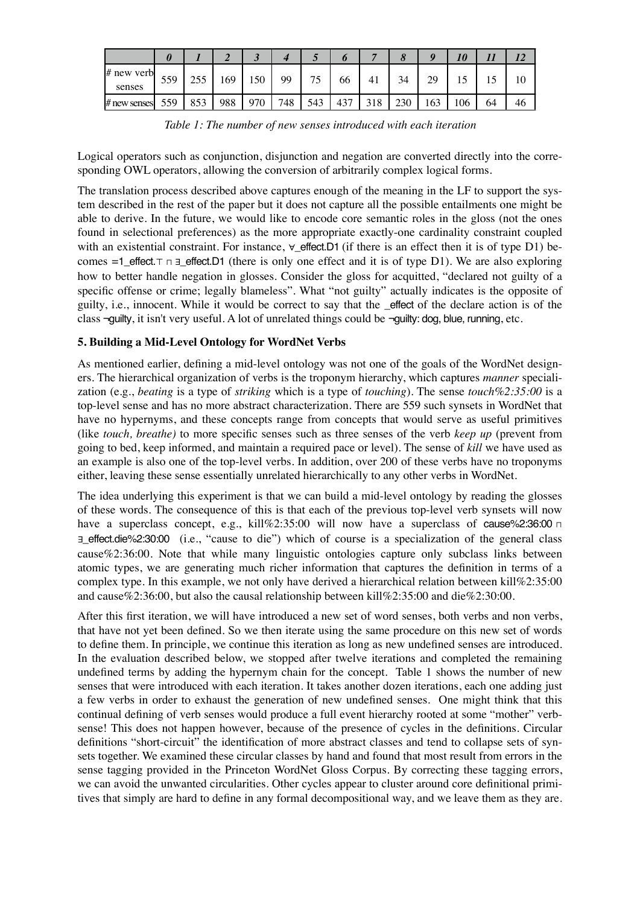|                        |     |     |     | ັ   |     |     |     |     | ο   |     | 10  |    |    |
|------------------------|-----|-----|-----|-----|-----|-----|-----|-----|-----|-----|-----|----|----|
| $#$ new verb<br>senses | 559 | 255 | .69 | 150 | 99  | ワベ  | 66  | 41  | 34  | 20  | IJ  |    | 10 |
| # new senses           | 559 | 853 | 988 | 970 | 748 | 543 | 437 | 318 | 230 | 163 | 106 | 64 | 46 |

*Table 1: The number of new senses introduced with each iteration*

Logical operators such as conjunction, disjunction and negation are converted directly into the corresponding OWL operators, allowing the conversion of arbitrarily complex logical forms.

The translation process described above captures enough of the meaning in the LF to support the system described in the rest of the paper but it does not capture all the possible entailments one might be able to derive. In the future, we would like to encode core semantic roles in the gloss (not the ones found in selectional preferences) as the more appropriate exactly-one cardinality constraint coupled with an existential constraint. For instance,  $\forall$ \_effect.D1 (if there is an effect then it is of type D1) becomes =1 effect.⊤  $\sqcap$  ∃ effect.D1 (there is only one effect and it is of type D1). We are also exploring how to better handle negation in glosses. Consider the gloss for acquitted, "declared not guilty of a specific offense or crime; legally blameless". What "not guilty" actually indicates is the opposite of guilty, i.e., innocent. While it would be correct to say that the \_effect of the declare action is of the class ¬guilty, it isn't very useful. A lot of unrelated things could be ¬guilty: dog, blue, running, etc.

# **5. Building a Mid-Level Ontology for WordNet Verbs**

As mentioned earlier, defining a mid-level ontology was not one of the goals of the WordNet designers. The hierarchical organization of verbs is the troponym hierarchy, which captures *manner* specialization (e.g., *beating* is a type of *striking* which is a type of *touching*). The sense *touch%2:35:00* is a top-level sense and has no more abstract characterization. There are 559 such synsets in WordNet that have no hypernyms, and these concepts range from concepts that would serve as useful primitives (like *touch, breathe)* to more specific senses such as three senses of the verb *keep up* (prevent from going to bed, keep informed, and maintain a required pace or level). The sense of *kill* we have used as an example is also one of the top-level verbs. In addition, over 200 of these verbs have no troponyms either, leaving these sense essentially unrelated hierarchically to any other verbs in WordNet.

The idea underlying this experiment is that we can build a mid-level ontology by reading the glosses of these words. The consequence of this is that each of the previous top-level verb synsets will now have a superclass concept, e.g., kill%2:35:00 will now have a superclass of cause%2:36:00 ⊓ ∃\_effect.die%2:30:00 (i.e., "cause to die") which of course is a specialization of the general class cause%2:36:00. Note that while many linguistic ontologies capture only subclass links between atomic types, we are generating much richer information that captures the definition in terms of a complex type. In this example, we not only have derived a hierarchical relation between kill%2:35:00 and cause%2:36:00, but also the causal relationship between kill%2:35:00 and die%2:30:00.

After this first iteration, we will have introduced a new set of word senses, both verbs and non verbs, that have not yet been defined. So we then iterate using the same procedure on this new set of words to define them. In principle, we continue this iteration as long as new undefined senses are introduced. In the evaluation described below, we stopped after twelve iterations and completed the remaining undefined terms by adding the hypernym chain for the concept. Table 1 shows the number of new senses that were introduced with each iteration. It takes another dozen iterations, each one adding just a few verbs in order to exhaust the generation of new undefined senses. One might think that this continual defining of verb senses would produce a full event hierarchy rooted at some "mother" verbsense! This does not happen however, because of the presence of cycles in the definitions. Circular definitions "short-circuit" the identification of more abstract classes and tend to collapse sets of synsets together. We examined these circular classes by hand and found that most result from errors in the sense tagging provided in the Princeton WordNet Gloss Corpus. By correcting these tagging errors, we can avoid the unwanted circularities. Other cycles appear to cluster around core definitional primitives that simply are hard to define in any formal decompositional way, and we leave them as they are.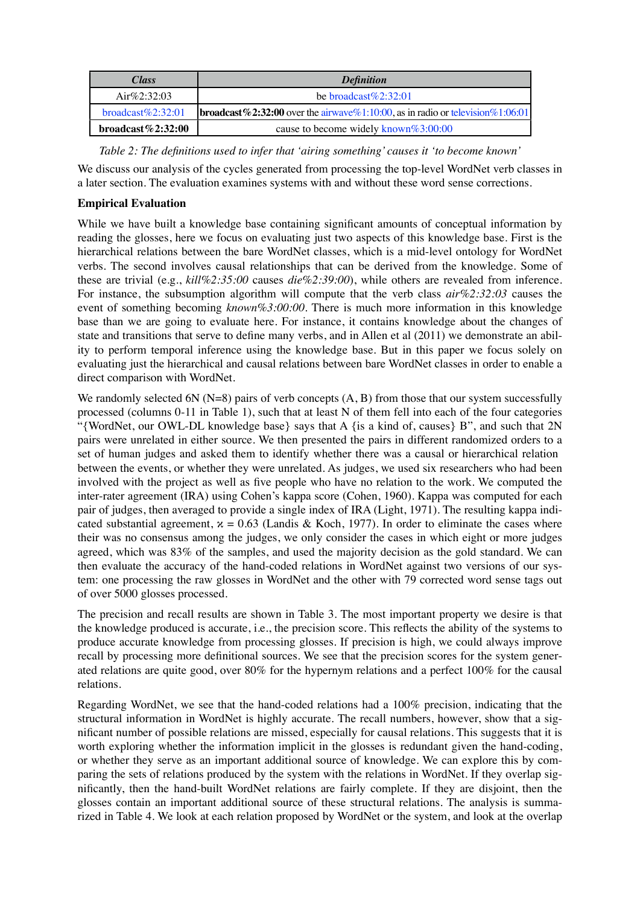| <i>Class</i>           | <b>Definition</b>                                                                       |  |  |  |  |  |
|------------------------|-----------------------------------------------------------------------------------------|--|--|--|--|--|
| Air $\%2:32:03$        | be broadcast $\%2:32:01$                                                                |  |  |  |  |  |
| $broadcast\%2:32:01$   | <b>broadcast</b> %2:32:00 over the airway e%1:10:00, as in radio or television %1:06:01 |  |  |  |  |  |
| broadcast $\%$ 2:32:00 | cause to become widely known $\%3:00:00$                                                |  |  |  |  |  |

*Table 2: The definitions used to infer that 'airing something' causes it 'to become known'*

We discuss our analysis of the cycles generated from processing the top-level WordNet verb classes in a later section. The evaluation examines systems with and without these word sense corrections.

## **Empirical Evaluation**

While we have built a knowledge base containing significant amounts of conceptual information by reading the glosses, here we focus on evaluating just two aspects of this knowledge base. First is the hierarchical relations between the bare WordNet classes, which is a mid-level ontology for WordNet verbs. The second involves causal relationships that can be derived from the knowledge. Some of these are trivial (e.g., *kill%2:35:00* causes *die%2:39:00*), while others are revealed from inference. For instance, the subsumption algorithm will compute that the verb class *air%2:32:03* causes the event of something becoming *known%3:00:00*. There is much more information in this knowledge base than we are going to evaluate here. For instance, it contains knowledge about the changes of state and transitions that serve to define many verbs, and in Allen et al (2011) we demonstrate an ability to perform temporal inference using the knowledge base. But in this paper we focus solely on evaluating just the hierarchical and causal relations between bare WordNet classes in order to enable a direct comparison with WordNet.

We randomly selected 6N  $(N=8)$  pairs of verb concepts  $(A, B)$  from those that our system successfully processed (columns 0-11 in Table 1), such that at least N of them fell into each of the four categories "{WordNet, our OWL-DL knowledge base} says that A {is a kind of, causes} B", and such that 2N pairs were unrelated in either source. We then presented the pairs in different randomized orders to a set of human judges and asked them to identify whether there was a causal or hierarchical relation between the events, or whether they were unrelated. As judges, we used six researchers who had been involved with the project as well as five people who have no relation to the work. We computed the inter-rater agreement (IRA) using Cohen's kappa score (Cohen, 1960). Kappa was computed for each pair of judges, then averaged to provide a single index of IRA (Light, 1971). The resulting kappa indicated substantial agreement,  $x = 0.63$  (Landis & Koch, 1977). In order to eliminate the cases where their was no consensus among the judges, we only consider the cases in which eight or more judges agreed, which was 83% of the samples, and used the majority decision as the gold standard. We can then evaluate the accuracy of the hand-coded relations in WordNet against two versions of our system: one processing the raw glosses in WordNet and the other with 79 corrected word sense tags out of over 5000 glosses processed.

The precision and recall results are shown in Table 3. The most important property we desire is that the knowledge produced is accurate, i.e., the precision score. This reflects the ability of the systems to produce accurate knowledge from processing glosses. If precision is high, we could always improve recall by processing more definitional sources. We see that the precision scores for the system generated relations are quite good, over 80% for the hypernym relations and a perfect 100% for the causal relations.

Regarding WordNet, we see that the hand-coded relations had a 100% precision, indicating that the structural information in WordNet is highly accurate. The recall numbers, however, show that a significant number of possible relations are missed, especially for causal relations. This suggests that it is worth exploring whether the information implicit in the glosses is redundant given the hand-coding, or whether they serve as an important additional source of knowledge. We can explore this by comparing the sets of relations produced by the system with the relations in WordNet. If they overlap significantly, then the hand-built WordNet relations are fairly complete. If they are disjoint, then the glosses contain an important additional source of these structural relations. The analysis is summarized in Table 4. We look at each relation proposed by WordNet or the system, and look at the overlap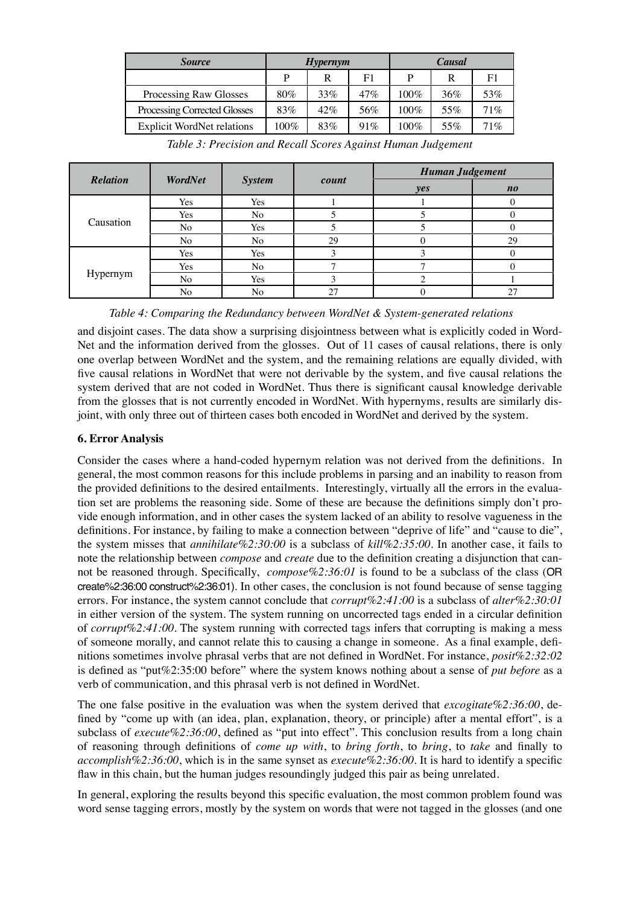| <i>Source</i>                     |         | <b>Hypernym</b> |                | Causal  |     |                |  |
|-----------------------------------|---------|-----------------|----------------|---------|-----|----------------|--|
|                                   | P       | R               | F <sub>1</sub> | P       | R   | F <sub>1</sub> |  |
| Processing Raw Glosses            | $80\%$  | 33%             | 47%            | 100%    | 36% | 53%            |  |
| Processing Corrected Glosses      | 83%     | 42%             | 56%            | 100%    | 55% | 71%            |  |
| <b>Explicit WordNet relations</b> | $100\%$ | 83%             | 91%            | $100\%$ | 55% | 71%            |  |

|                 |                |               |       | <b>Human Judgement</b> |                                |  |  |
|-----------------|----------------|---------------|-------|------------------------|--------------------------------|--|--|
| <b>Relation</b> | WordNet        | <b>System</b> | count | yes                    | $\boldsymbol{n}\boldsymbol{o}$ |  |  |
| Causation       | Yes            | Yes           |       |                        |                                |  |  |
|                 | Yes            | No            |       |                        |                                |  |  |
|                 | No             | Yes           |       |                        |                                |  |  |
|                 | No             | No            | 29    |                        | 29                             |  |  |
| Hypernym        | Yes            | Yes           |       |                        |                                |  |  |
|                 | Yes            | No            | −     |                        |                                |  |  |
|                 | N <sub>o</sub> | Yes           | 3     |                        |                                |  |  |
|                 | No             | No            | 27    |                        | 27                             |  |  |

*Table 3: Precision and Recall Scores Against Human Judgement*

*Table 4: Comparing the Redundancy between WordNet & System-generated relations*

and disjoint cases. The data show a surprising disjointness between what is explicitly coded in Word-Net and the information derived from the glosses. Out of 11 cases of causal relations, there is only one overlap between WordNet and the system, and the remaining relations are equally divided, with five causal relations in WordNet that were not derivable by the system, and five causal relations the system derived that are not coded in WordNet. Thus there is significant causal knowledge derivable from the glosses that is not currently encoded in WordNet. With hypernyms, results are similarly disjoint, with only three out of thirteen cases both encoded in WordNet and derived by the system.

# **6. Error Analysis**

Consider the cases where a hand-coded hypernym relation was not derived from the definitions. In general, the most common reasons for this include problems in parsing and an inability to reason from the provided definitions to the desired entailments. Interestingly, virtually all the errors in the evaluation set are problems the reasoning side. Some of these are because the definitions simply don't provide enough information, and in other cases the system lacked of an ability to resolve vagueness in the definitions. For instance, by failing to make a connection between "deprive of life" and "cause to die", the system misses that *annihilate%2:30:00* is a subclass of *kill%2:35:00*. In another case, it fails to note the relationship between *compose* and *create* due to the definition creating a disjunction that cannot be reasoned through. Specifically, *compose%2:36:01* is found to be a subclass of the class (OR create%2:36:00 construct%2:36:01). In other cases, the conclusion is not found because of sense tagging errors. For instance, the system cannot conclude that *corrupt%2:41:00* is a subclass of *alter%2:30:01* in either version of the system. The system running on uncorrected tags ended in a circular definition of *corrupt%2:41:00*. The system running with corrected tags infers that corrupting is making a mess of someone morally, and cannot relate this to causing a change in someone. As a final example, definitions sometimes involve phrasal verbs that are not defined in WordNet. For instance, *posit%2:32:02* is defined as "put%2:35:00 before" where the system knows nothing about a sense of *put before* as a verb of communication, and this phrasal verb is not defined in WordNet.

The one false positive in the evaluation was when the system derived that *excogitate%2:36:00*, defined by "come up with (an idea, plan, explanation, theory, or principle) after a mental effort", is a subclass of *execute%2:36:00*, defined as "put into effect". This conclusion results from a long chain of reasoning through definitions of *come up with*, to *bring forth*, to *bring*, to *take* and finally to *accomplish%2:36:00*, which is in the same synset as *execute%2:36:00*. It is hard to identify a specific flaw in this chain, but the human judges resoundingly judged this pair as being unrelated.

In general, exploring the results beyond this specific evaluation, the most common problem found was word sense tagging errors, mostly by the system on words that were not tagged in the glosses (and one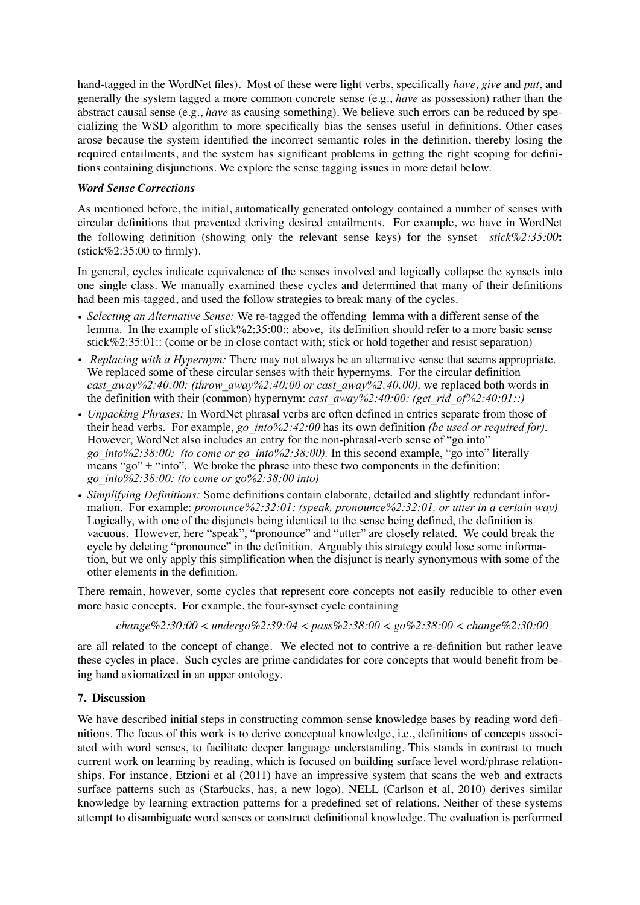hand-tagged in the WordNet files). Most of these were light verbs, specifically *have, give* and *put*, and generally the system tagged a more common concrete sense (e.g., *have* as possession) rather than the abstract causal sense (e.g., *have* as causing something). We believe such errors can be reduced by specializing the WSD algorithm to more specifically bias the senses useful in definitions. Other cases arose because the system identified the incorrect semantic roles in the definition, thereby losing the required entailments, and the system has significant problems in getting the right scoping for definitions containing disjunctions. We explore the sense tagging issues in more detail below.

## *Word Sense Corrections*

As mentioned before, the initial, automatically generated ontology contained a number of senses with circular definitions that prevented deriving desired entailments. For example, we have in WordNet the following definition (showing only the relevant sense keys) for the synset *stick%2:35:00***:**  $(\text{stick}\%2:35:00 \text{ to firmly}).$ 

In general, cycles indicate equivalence of the senses involved and logically collapse the synsets into one single class. We manually examined these cycles and determined that many of their definitions had been mis-tagged, and used the follow strategies to break many of the cycles.

- *• Selecting an Alternative Sense:* We re-tagged the offending lemma with a different sense of the lemma. In the example of stick%2:35:00:: above, its definition should refer to a more basic sense stick%2:35:01:: (come or be in close contact with; stick or hold together and resist separation)
- *Replacing with a Hypernym:* There may not always be an alternative sense that seems appropriate. We replaced some of these circular senses with their hypernyms. For the circular definition *cast\_away%2:40:00: (throw\_away%2:40:00 or cast\_away%2:40:00), we replaced both words in* the definition with their (common) hypernym: *cast\_away%2:40:00: (get\_rid\_of%2:40:01::)*
- *• Unpacking Phrases:* In WordNet phrasal verbs are often defined in entries separate from those of their head verbs. For example, *go\_into%2:42:00* has its own definition *(be used or required for).*  However, WordNet also includes an entry for the non-phrasal-verb sense of "go into" *go\_into%2:38:00: (to come or go\_into%2:38:00).* In this second example, "go into" literally means "go" + "into". We broke the phrase into these two components in the definition: *go\_into%2:38:00: (to come or go%2:38:00 into)*
- *• Simplifying Definitions:* Some definitions contain elaborate, detailed and slightly redundant information. For example: *pronounce%2:32:01: (speak, pronounce%2:32:01, or utter in a certain way)*  Logically, with one of the disjuncts being identical to the sense being defined, the definition is vacuous. However, here "speak", "pronounce" and "utter" are closely related. We could break the cycle by deleting "pronounce" in the definition. Arguably this strategy could lose some information, but we only apply this simplification when the disjunct is nearly synonymous with some of the other elements in the definition.

There remain, however, some cycles that represent core concepts not easily reducible to other even more basic concepts. For example, the four-synset cycle containing

*change%2:30:00 < undergo%2:39:04 < pass%2:38:00 < go%2:38:00 < change%2:30:00*

are all related to the concept of change. We elected not to contrive a re-definition but rather leave these cycles in place. Such cycles are prime candidates for core concepts that would benefit from being hand axiomatized in an upper ontology.

## **7. Discussion**

We have described initial steps in constructing common-sense knowledge bases by reading word definitions. The focus of this work is to derive conceptual knowledge, i.e., definitions of concepts associated with word senses, to facilitate deeper language understanding. This stands in contrast to much current work on learning by reading, which is focused on building surface level word/phrase relationships. For instance, Etzioni et al (2011) have an impressive system that scans the web and extracts surface patterns such as (Starbucks, has, a new logo). NELL (Carlson et al, 2010) derives similar knowledge by learning extraction patterns for a predefined set of relations. Neither of these systems attempt to disambiguate word senses or construct definitional knowledge. The evaluation is performed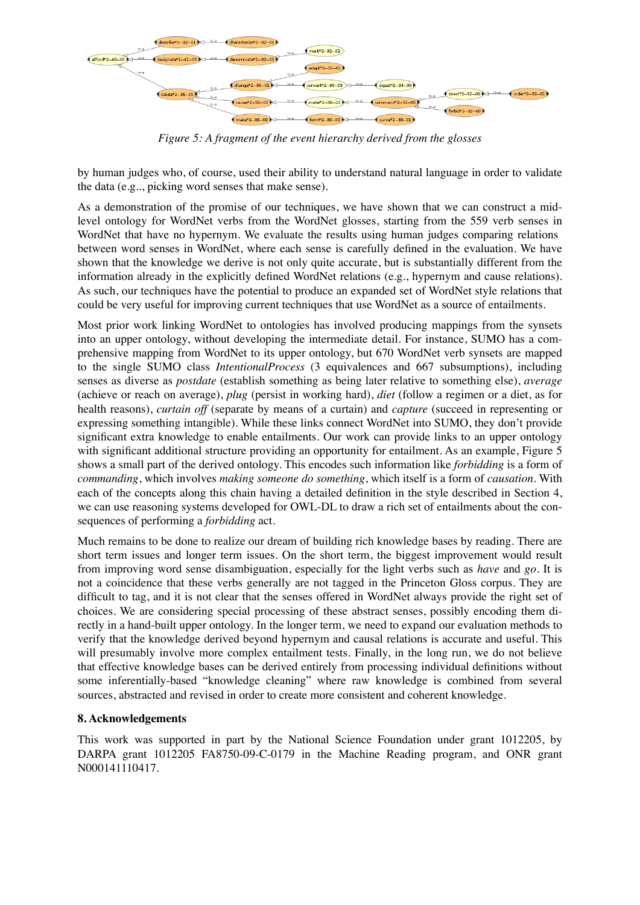

*Figure 5: A fragment of the event hierarchy derived from the glosses*

by human judges who, of course, used their ability to understand natural language in order to validate the data (e.g.., picking word senses that make sense).

As a demonstration of the promise of our techniques, we have shown that we can construct a midlevel ontology for WordNet verbs from the WordNet glosses, starting from the 559 verb senses in WordNet that have no hypernym. We evaluate the results using human judges comparing relations between word senses in WordNet, where each sense is carefully defined in the evaluation. We have shown that the knowledge we derive is not only quite accurate, but is substantially different from the information already in the explicitly defined WordNet relations (e.g., hypernym and cause relations). As such, our techniques have the potential to produce an expanded set of WordNet style relations that could be very useful for improving current techniques that use WordNet as a source of entailments.

Most prior work linking WordNet to ontologies has involved producing mappings from the synsets into an upper ontology, without developing the intermediate detail. For instance, SUMO has a comprehensive mapping from WordNet to its upper ontology, but 670 WordNet verb synsets are mapped to the single SUMO class *IntentionalProcess* (3 equivalences and 667 subsumptions), including senses as diverse as *postdate* (establish something as being later relative to something else), *average*  (achieve or reach on average), *plug* (persist in working hard), *diet* (follow a regimen or a diet, as for health reasons), *curtain off* (separate by means of a curtain) and *capture* (succeed in representing or expressing something intangible). While these links connect WordNet into SUMO, they don't provide significant extra knowledge to enable entailments. Our work can provide links to an upper ontology with significant additional structure providing an opportunity for entailment. As an example, Figure 5 shows a small part of the derived ontology. This encodes such information like *forbidding* is a form of *commanding*, which involves *making someone do something*, which itself is a form of *causation*. With each of the concepts along this chain having a detailed definition in the style described in Section 4, we can use reasoning systems developed for OWL-DL to draw a rich set of entailments about the consequences of performing a *forbidding* act.

Much remains to be done to realize our dream of building rich knowledge bases by reading. There are short term issues and longer term issues. On the short term, the biggest improvement would result from improving word sense disambiguation, especially for the light verbs such as *have* and *go.* It is not a coincidence that these verbs generally are not tagged in the Princeton Gloss corpus. They are difficult to tag, and it is not clear that the senses offered in WordNet always provide the right set of choices. We are considering special processing of these abstract senses, possibly encoding them directly in a hand-built upper ontology. In the longer term, we need to expand our evaluation methods to verify that the knowledge derived beyond hypernym and causal relations is accurate and useful. This will presumably involve more complex entailment tests. Finally, in the long run, we do not believe that effective knowledge bases can be derived entirely from processing individual definitions without some inferentially-based "knowledge cleaning" where raw knowledge is combined from several sources, abstracted and revised in order to create more consistent and coherent knowledge.

# **8. Acknowledgements**

This work was supported in part by the National Science Foundation under grant 1012205, by DARPA grant 1012205 FA8750-09-C-0179 in the Machine Reading program, and ONR grant N000141110417.